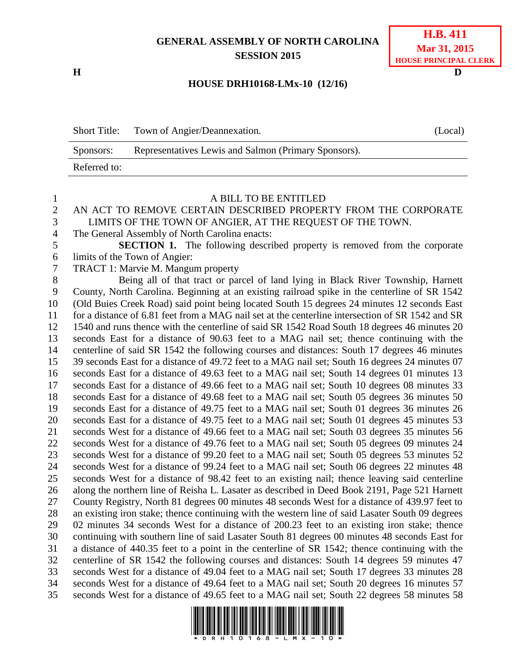# **GENERAL ASSEMBLY OF NORTH CAROLINA SESSION 2015**

**H D**

# **H.B. 411 Mar 31, 2015 HOUSE PRINCIPAL CLERK**

### **HOUSE DRH10168-LMx-10 (12/16)**

| <b>Short Title:</b> | Town of Angier/Deannexation.                         | (Local) |
|---------------------|------------------------------------------------------|---------|
| Sponsors:           | Representatives Lewis and Salmon (Primary Sponsors). |         |
| Referred to:        |                                                      |         |

### A BILL TO BE ENTITLED AN ACT TO REMOVE CERTAIN DESCRIBED PROPERTY FROM THE CORPORATE LIMITS OF THE TOWN OF ANGIER, AT THE REQUEST OF THE TOWN. The General Assembly of North Carolina enacts: **SECTION 1.** The following described property is removed from the corporate limits of the Town of Angier: TRACT 1: Marvie M. Mangum property Being all of that tract or parcel of land lying in Black River Township, Harnett County, North Carolina. Beginning at an existing railroad spike in the centerline of SR 1542 (Old Buies Creek Road) said point being located South 15 degrees 24 minutes 12 seconds East for a distance of 6.81 feet from a MAG nail set at the centerline intersection of SR 1542 and SR 1540 and runs thence with the centerline of said SR 1542 Road South 18 degrees 46 minutes 20 seconds East for a distance of 90.63 feet to a MAG nail set; thence continuing with the centerline of said SR 1542 the following courses and distances: South 17 degrees 46 minutes 39 seconds East for a distance of 49.72 feet to a MAG nail set; South 16 degrees 24 minutes 07 seconds East for a distance of 49.63 feet to a MAG nail set; South 14 degrees 01 minutes 13 seconds East for a distance of 49.66 feet to a MAG nail set; South 10 degrees 08 minutes 33 seconds East for a distance of 49.68 feet to a MAG nail set; South 05 degrees 36 minutes 50 seconds East for a distance of 49.75 feet to a MAG nail set; South 01 degrees 36 minutes 26 seconds East for a distance of 49.75 feet to a MAG nail set; South 01 degrees 45 minutes 53 seconds West for a distance of 49.66 feet to a MAG nail set; South 03 degrees 35 minutes 56 seconds West for a distance of 49.76 feet to a MAG nail set; South 05 degrees 09 minutes 24 seconds West for a distance of 99.20 feet to a MAG nail set; South 05 degrees 53 minutes 52 seconds West for a distance of 99.24 feet to a MAG nail set; South 06 degrees 22 minutes 48 seconds West for a distance of 98.42 feet to an existing nail; thence leaving said centerline along the northern line of Reisha L. Lasater as described in Deed Book 2191, Page 521 Harnett County Registry, North 81 degrees 00 minutes 48 seconds West for a distance of 439.97 feet to an existing iron stake; thence continuing with the western line of said Lasater South 09 degrees 02 minutes 34 seconds West for a distance of 200.23 feet to an existing iron stake; thence continuing with southern line of said Lasater South 81 degrees 00 minutes 48 seconds East for a distance of 440.35 feet to a point in the centerline of SR 1542; thence continuing with the centerline of SR 1542 the following courses and distances: South 14 degrees 59 minutes 47 seconds West for a distance of 49.04 feet to a MAG nail set; South 17 degrees 33 minutes 28 seconds West for a distance of 49.64 feet to a MAG nail set; South 20 degrees 16 minutes 57 seconds West for a distance of 49.65 feet to a MAG nail set; South 22 degrees 58 minutes 58